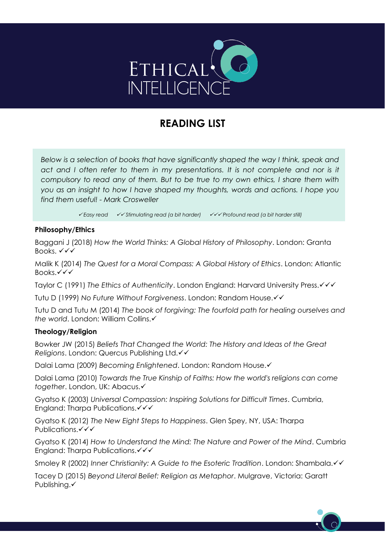

# **READING LIST**

*Below is a selection of books that have significantly shaped the way I think, speak and act and I often refer to them in my presentations. It is not complete and nor is it compulsory to read any of them. But to be true to my own ethics, I share them with you as an insight to how I have shaped my thoughts, words and actions. I hope you find them useful! - Mark Crosweller*

✓ *Easy read* ✓✓ *Stimulating read (a bit harder)* ✓✓✓ *Profound read (a bit harder still)*

### **Philosophy/Ethics**

Baggani J (2018) *How the World Thinks: A Global History of Philosophy*. London: Granta Books. ✓✓✓

Malik K (2014) *The Quest for a Moral Compass: A Global History of Ethics*. London: Atlantic Books.✓✓✓

Taylor C (1991) *The Ethics of Authenticity*. London England: Harvard University Press.✓✓✓

Tutu D (1999) *No Future Without Forgiveness*. London: Random House.✓✓

Tutu D and Tutu M (2014) *The book of forgiving: The fourfold path for healing ourselves and the world*. London: William Collins.✓

# **Theology/Religion**

Bowker JW (2015) *Beliefs That Changed the World: The History and Ideas of the Great Religions*. London: Quercus Publishing Ltd.✓✓

Dalai Lama (2009) *Becoming Enlightened*. London: Random House.✓

Dalai Lama (2010) *Towards the True Kinship of Faiths: How the world's religions can come together*. London, UK: Abacus.✓

Gyatso K (2003) *Universal Compassion: Inspiring Solutions for Difficult Times*. Cumbria, England: Tharpa Publications. <del>V</del>

Gyatso K (2012) *The New Eight Steps to Happiness*. Glen Spey, NY, USA: Tharpa Publications.✓✓✓

Gyatso K (2014) *How to Understand the Mind: The Nature and Power of the Mind*. Cumbria England: Tharpa Publications. <del>V</del>

Smoley R (2002) *Inner Christianity: A Guide to the Esoteric Tradition*. London: Shambala.✓✓

Tacey D (2015) *Beyond Literal Belief: Religion as Metaphor*. Mulgrave, Victoria: Garatt Publishing.✓